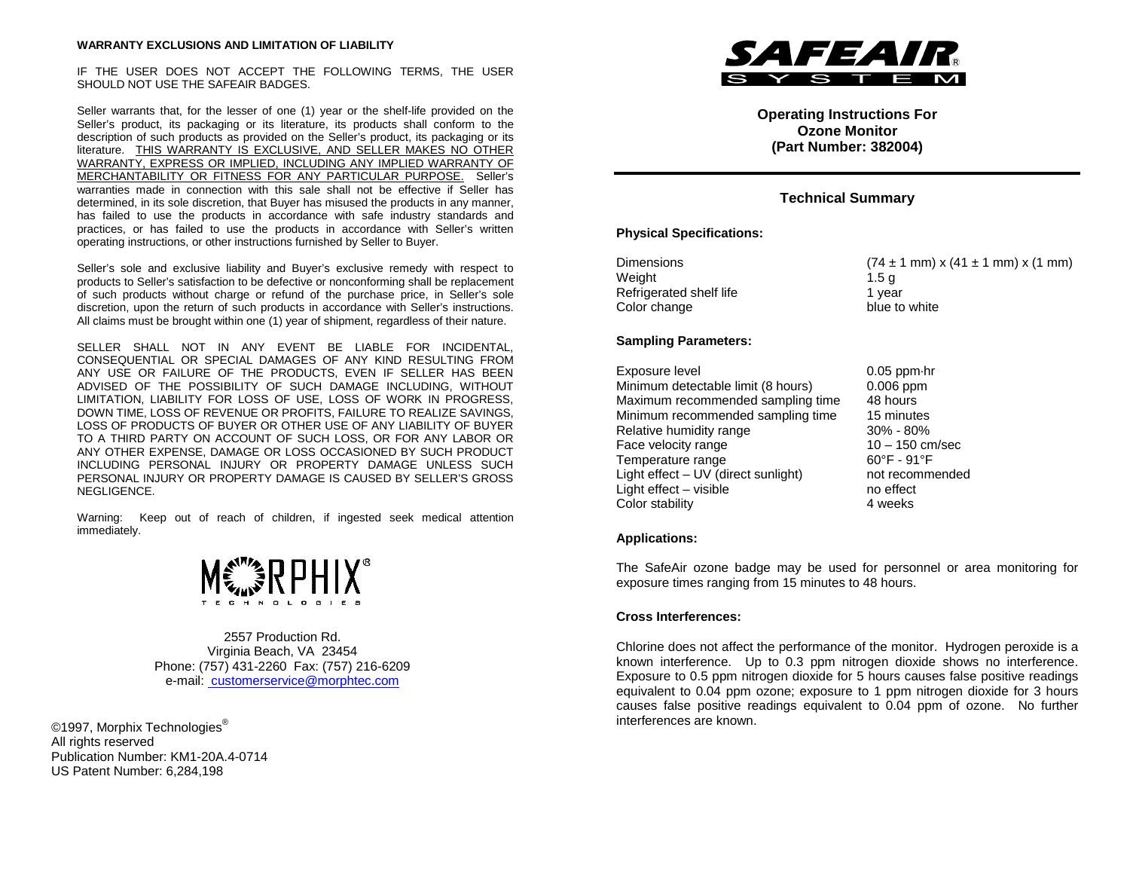#### **WARRANTY EXCLUSIONS AND LIMITATION OF LIABILITY**

IF THE USER DOES NOT ACCEPT THE FOLLOWING TERMS, THE USER SHOULD NOT USE THE SAFEAIR BADGES.

Seller warrants that, for the lesser of one (1) year or the shelf-life provided on the Seller's product, its packaging or its literature, its products shall conform to the description of such products as provided on the Seller's product, its packaging or its literature. THIS WARRANTY IS EXCLUSIVE, AND SELLER MAKES NO OTHER WARRANTY, EXPRESS OR IMPLIED, INCLUDING ANY IMPLIED WARRANTY OF MERCHANTABILITY OR FITNESS FOR ANY PARTICULAR PURPOSE. Seller's warranties made in connection with this sale shall not be effective if Seller has determined, in its sole discretion, that Buyer has misused the products in any manner, has failed to use the products in accordance with safe industry standards and practices, or has failed to use the products in accordance with Seller's written operating instructions, or other instructions furnished by Seller to Buyer.

Seller's sole and exclusive liability and Buyer's exclusive remedy with respect to products to Seller's satisfaction to be defective or nonconforming shall be replacement of such products without charge or refund of the purchase price, in Seller's sole discretion, upon the return of such products in accordance with Seller's instructions. All claims must be brought within one (1) year of shipment, regardless of their nature.

SELLER SHALL NOT IN ANY EVENT BE LIABLE FOR INCIDENTAL, CONSEQUENTIAL OR SPECIAL DAMAGES OF ANY KIND RESULTING FROM ANY USE OR FAILURE OF THE PRODUCTS, EVEN IF SELLER HAS BEEN ADVISED OF THE POSSIBILITY OF SUCH DAMAGE INCLUDING, WITHOUT LIMITATION, LIABILITY FOR LOSS OF USE, LOSS OF WORK IN PROGRESS, DOWN TIME, LOSS OF REVENUE OR PROFITS, FAILURE TO REALIZE SAVINGS, LOSS OF PRODUCTS OF BUYER OR OTHER USE OF ANY LIABILITY OF BUYER TO A THIRD PARTY ON ACCOUNT OF SUCH LOSS, OR FOR ANY LABOR OR ANY OTHER EXPENSE, DAMAGE OR LOSS OCCASIONED BY SUCH PRODUCT INCLUDING PERSONAL INJURY OR PROPERTY DAMAGE UNLESS SUCH PERSONAL INJURY OR PROPERTY DAMAGE IS CAUSED BY SELLER'S GROSS NEGLIGENCE.

Warning: Keep out of reach of children, if ingested seek medical attention immediately.



2557 Production Rd. Virginia Beach, VA 23454 Phone: (757) 431-2260 Fax: (757) 216-6209 e-mail: customerservice@morphtec.com

©1997, Morphix Technologies<sup>®</sup> All rights reserved Publication Number: KM1-20A.4-0714 US Patent Number: 6,284,198



**Operating Instructions For Ozone Monitor (Part Number: 382004)**

# **Technical Summary**

## **Physical Specifications:**

Weight 1.5 g Refrigerated shelf life 1 year Color change blue to white

#### **Sampling Parameters:**

Exposure level 0.05 ppm∙hr Minimum detectable limit (8 hours) 0.006 ppm Maximum recommended sampling time 48 hours Minimum recommended sampling time 15 minutes<br>Relative humidity range 1998 - 80% Relative humidity range Face velocity range 10 – 150 cm/sec Temperature range 60°F - 91°F Light effect – UV (direct sunlight) not recommended Light effect – visible no effect<br>
Color stability develops and the stability of the stability of the stability of the stability of the stability of the stability of the stability of the stability of the stability of the st Color stability

Dimensions (74 ± 1 mm) x (41 ± 1 mm) x (1 mm)

#### **Applications:**

The SafeAir ozone badge may be used for personnel or area monitoring for exposure times ranging from 15 minutes to 48 hours.

### **Cross Interferences:**

Chlorine does not affect the performance of the monitor. Hydrogen peroxide is a known interference. Up to 0.3 ppm nitrogen dioxide shows no interference. Exposure to 0.5 ppm nitrogen dioxide for 5 hours causes false positive readings equivalent to 0.04 ppm ozone; exposure to 1 ppm nitrogen dioxide for 3 hours causes false positive readings equivalent to 0.04 ppm of ozone. No further interferences are known.